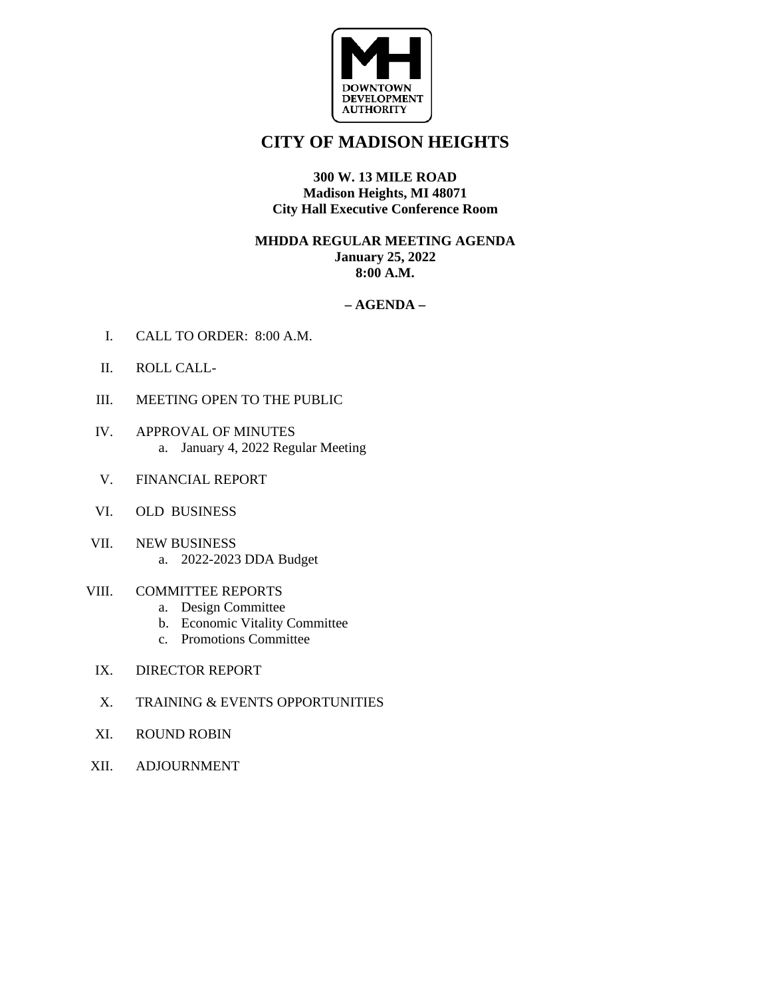

# **CITY OF MADISON HEIGHTS**

#### **300 W. 13 MILE ROAD Madison Heights, MI 48071 City Hall Executive Conference Room**

#### **MHDDA REGULAR MEETING AGENDA January 25, 2022 8:00 A.M.**

#### **– AGENDA –**

- I. CALL TO ORDER: 8:00 A.M.
- II. ROLL CALL-
- III. MEETING OPEN TO THE PUBLIC
- IV. APPROVAL OF MINUTES a. January 4, 2022 Regular Meeting
- V. FINANCIAL REPORT
- VI. OLD BUSINESS
- VII. NEW BUSINESS a. 2022-2023 DDA Budget
- VIII. COMMITTEE REPORTS
	- a. Design Committee
	- b. Economic Vitality Committee
	- c. Promotions Committee
- IX. DIRECTOR REPORT
- X. TRAINING & EVENTS OPPORTUNITIES
- XI. ROUND ROBIN
- XII. ADJOURNMENT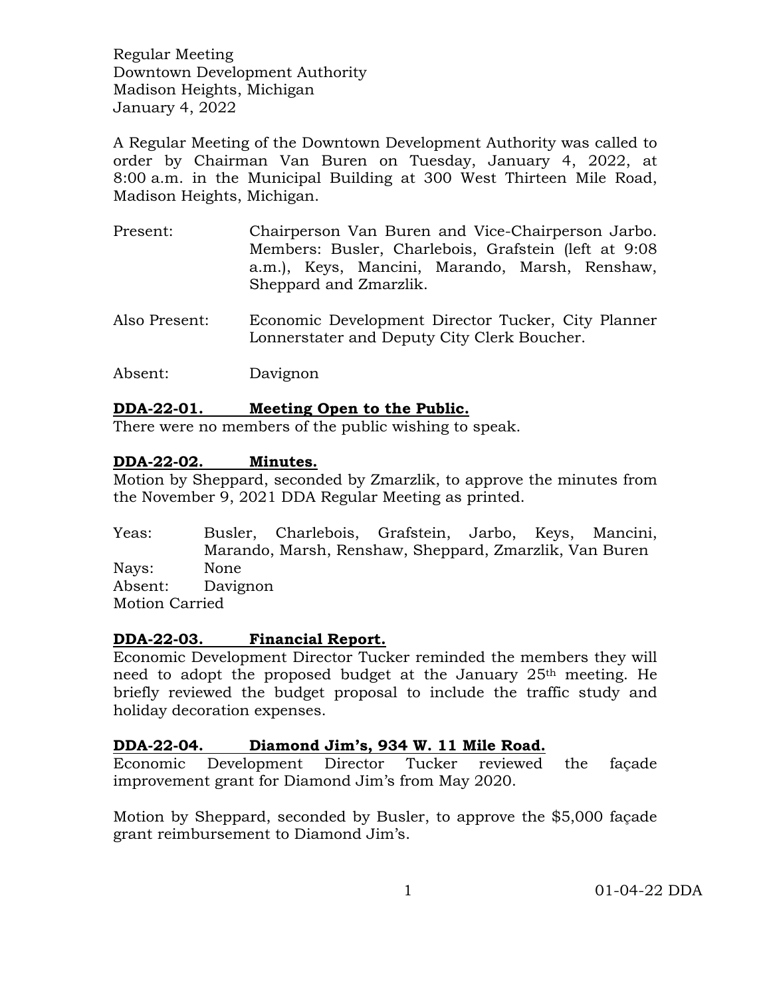A Regular Meeting of the Downtown Development Authority was called to order by Chairman Van Buren on Tuesday, January 4, 2022, at 8:00 a.m. in the Municipal Building at 300 West Thirteen Mile Road, Madison Heights, Michigan.

- Present: Chairperson Van Buren and Vice-Chairperson Jarbo. Members: Busler, Charlebois, Grafstein (left at 9:08 a.m.), Keys, Mancini, Marando, Marsh, Renshaw, Sheppard and Zmarzlik.
- Also Present: Economic Development Director Tucker, City Planner Lonnerstater and Deputy City Clerk Boucher.
- Absent: Davignon

# **DDA-22-01. Meeting Open to the Public.**

There were no members of the public wishing to speak.

# **DDA-22-02. Minutes.**

Motion by Sheppard, seconded by Zmarzlik, to approve the minutes from the November 9, 2021 DDA Regular Meeting as printed.

Yeas: Busler, Charlebois, Grafstein, Jarbo, Keys, Mancini, Marando, Marsh, Renshaw, Sheppard, Zmarzlik, Van Buren Nays: None Absent: Davignon Motion Carried

# **DDA-22-03. Financial Report.**

Economic Development Director Tucker reminded the members they will need to adopt the proposed budget at the January  $25<sup>th</sup>$  meeting. He briefly reviewed the budget proposal to include the traffic study and holiday decoration expenses.

# **DDA-22-04. Diamond Jim's, 934 W. 11 Mile Road.**

Economic Development Director Tucker reviewed the façade improvement grant for Diamond Jim's from May 2020.

Motion by Sheppard, seconded by Busler, to approve the \$5,000 façade grant reimbursement to Diamond Jim's.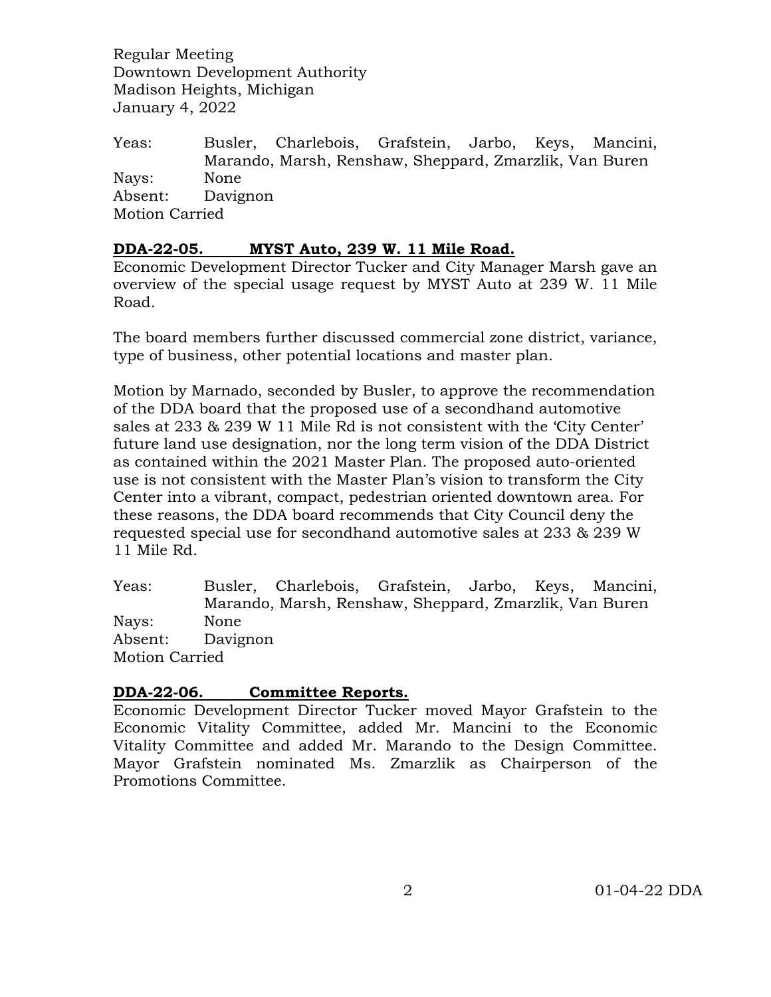Yeas: Busler, Charlebois, Grafstein, Jarbo, Keys, Mancini, Marando, Marsh, Renshaw, Sheppard, Zmarzlik, Van Buren Nays: None Absent: Davignon Motion Carried

# **DDA-22-05. MYST Auto, 239 W. 11 Mile Road.**

Economic Development Director Tucker and City Manager Marsh gave an overview of the special usage request by MYST Auto at 239 W. 11 Mile Road.

The board members further discussed commercial zone district, variance, type of business, other potential locations and master plan.

Motion by Marnado, seconded by Busler, to approve the recommendation of the DDA board that the proposed use of a secondhand automotive sales at 233 & 239 W 11 Mile Rd is not consistent with the 'City Center' future land use designation, nor the long term vision of the DDA District as contained within the 2021 Master Plan. The proposed auto-oriented use is not consistent with the Master Plan's vision to transform the City Center into a vibrant, compact, pedestrian oriented downtown area. For these reasons, the DDA board recommends that City Council deny the requested special use for secondhand automotive sales at 233 & 239 W 11 Mile Rd.

Yeas: Busler, Charlebois, Grafstein, Jarbo, Keys, Mancini, Marando, Marsh, Renshaw, Sheppard, Zmarzlik, Van Buren Nays: None Absent: Davignon Motion Carried

# **DDA-22-06. Committee Reports.**

Economic Development Director Tucker moved Mayor Grafstein to the Economic Vitality Committee, added Mr. Mancini to the Economic Vitality Committee and added Mr. Marando to the Design Committee. Mayor Grafstein nominated Ms. Zmarzlik as Chairperson of the Promotions Committee.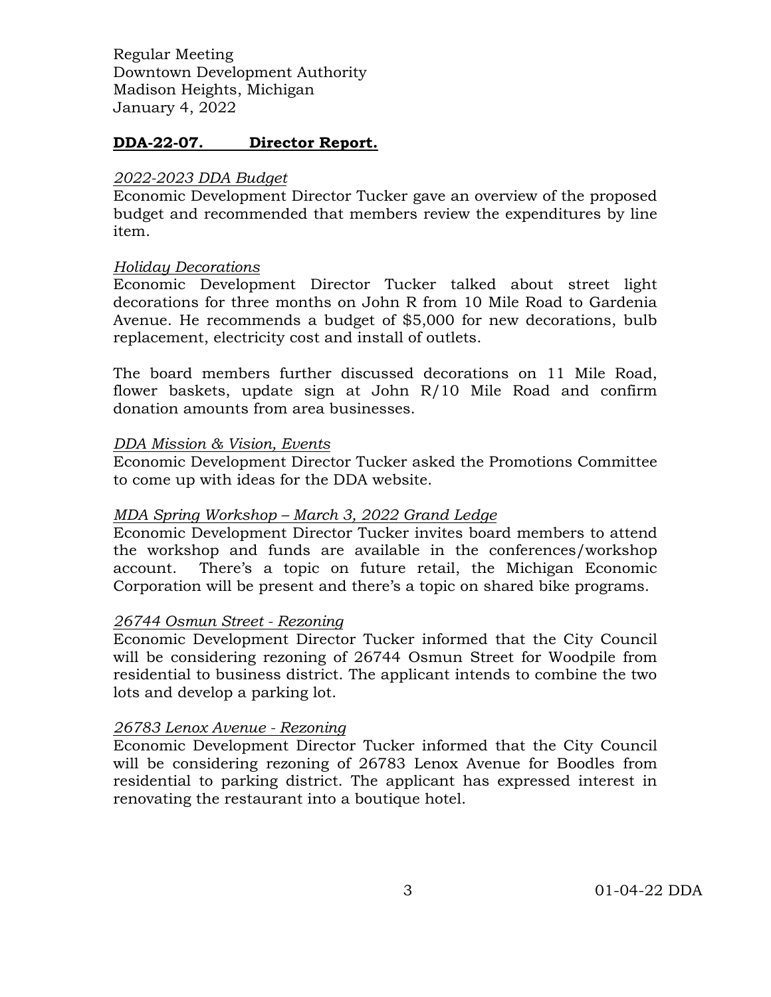# **DDA-22-07. Director Report.**

#### *2022-2023 DDA Budget*

Economic Development Director Tucker gave an overview of the proposed budget and recommended that members review the expenditures by line item.

#### *Holiday Decorations*

Economic Development Director Tucker talked about street light decorations for three months on John R from 10 Mile Road to Gardenia Avenue. He recommends a budget of \$5,000 for new decorations, bulb replacement, electricity cost and install of outlets.

The board members further discussed decorations on 11 Mile Road, flower baskets, update sign at John R/10 Mile Road and confirm donation amounts from area businesses.

#### *DDA Mission & Vision, Events*

Economic Development Director Tucker asked the Promotions Committee to come up with ideas for the DDA website.

# *MDA Spring Workshop – March 3, 2022 Grand Ledge*

Economic Development Director Tucker invites board members to attend the workshop and funds are available in the conferences/workshop account. There's a topic on future retail, the Michigan Economic Corporation will be present and there's a topic on shared bike programs.

#### *26744 Osmun Street - Rezoning*

Economic Development Director Tucker informed that the City Council will be considering rezoning of 26744 Osmun Street for Woodpile from residential to business district. The applicant intends to combine the two lots and develop a parking lot.

# *26783 Lenox Avenue - Rezoning*

Economic Development Director Tucker informed that the City Council will be considering rezoning of 26783 Lenox Avenue for Boodles from residential to parking district. The applicant has expressed interest in renovating the restaurant into a boutique hotel.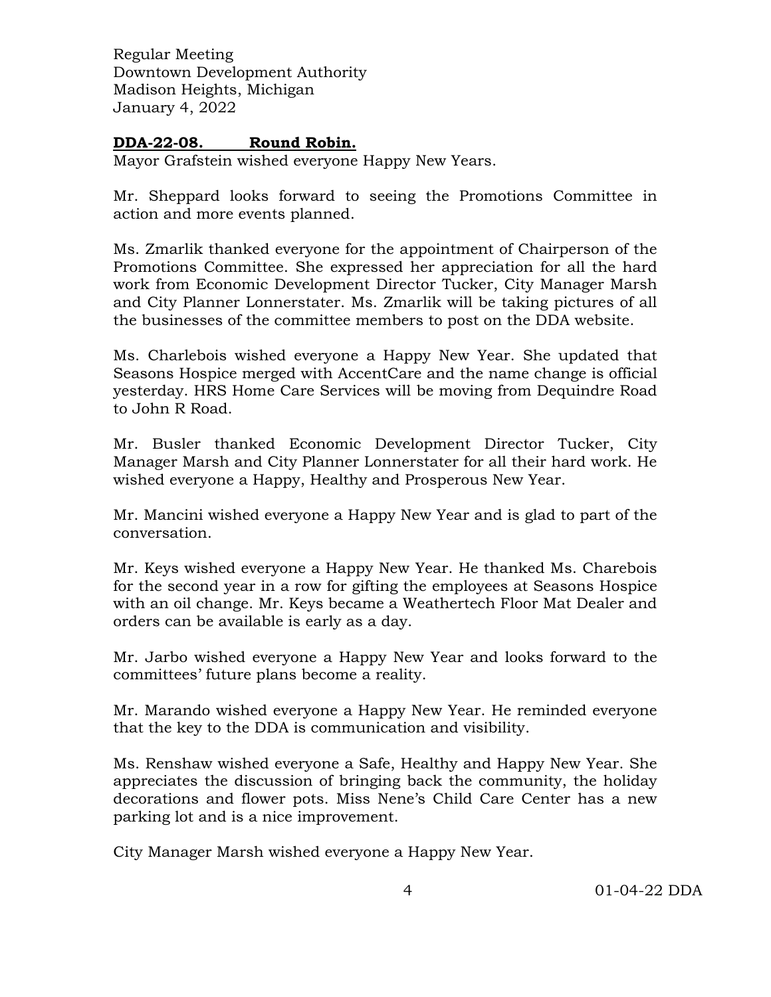# **DDA-22-08. Round Robin.**

Mayor Grafstein wished everyone Happy New Years.

Mr. Sheppard looks forward to seeing the Promotions Committee in action and more events planned.

Ms. Zmarlik thanked everyone for the appointment of Chairperson of the Promotions Committee. She expressed her appreciation for all the hard work from Economic Development Director Tucker, City Manager Marsh and City Planner Lonnerstater. Ms. Zmarlik will be taking pictures of all the businesses of the committee members to post on the DDA website.

Ms. Charlebois wished everyone a Happy New Year. She updated that Seasons Hospice merged with AccentCare and the name change is official yesterday. HRS Home Care Services will be moving from Dequindre Road to John R Road.

Mr. Busler thanked Economic Development Director Tucker, City Manager Marsh and City Planner Lonnerstater for all their hard work. He wished everyone a Happy, Healthy and Prosperous New Year.

Mr. Mancini wished everyone a Happy New Year and is glad to part of the conversation.

Mr. Keys wished everyone a Happy New Year. He thanked Ms. Charebois for the second year in a row for gifting the employees at Seasons Hospice with an oil change. Mr. Keys became a Weathertech Floor Mat Dealer and orders can be available is early as a day.

Mr. Jarbo wished everyone a Happy New Year and looks forward to the committees' future plans become a reality.

Mr. Marando wished everyone a Happy New Year. He reminded everyone that the key to the DDA is communication and visibility.

Ms. Renshaw wished everyone a Safe, Healthy and Happy New Year. She appreciates the discussion of bringing back the community, the holiday decorations and flower pots. Miss Nene's Child Care Center has a new parking lot and is a nice improvement.

City Manager Marsh wished everyone a Happy New Year.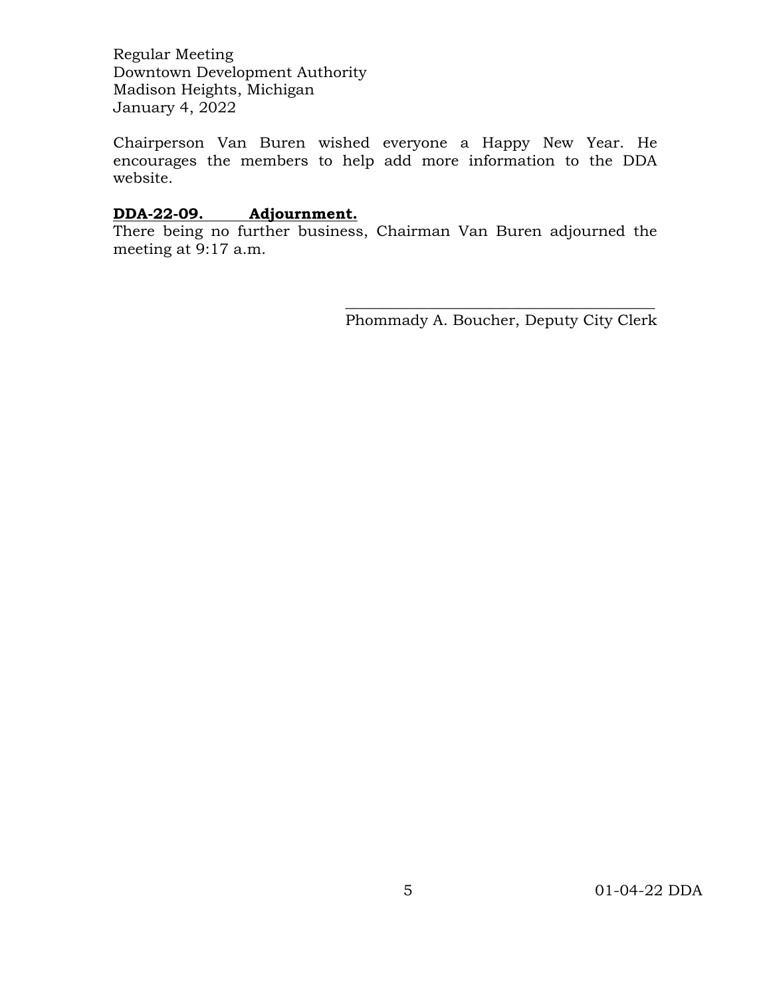Chairperson Van Buren wished everyone a Happy New Year. He encourages the members to help add more information to the DDA website.

#### **DDA-22-09. Adjournment.**

There being no further business, Chairman Van Buren adjourned the meeting at 9:17 a.m.

 $\overline{\phantom{a}}$  , and the contract of the contract of the contract of the contract of the contract of the contract of the contract of the contract of the contract of the contract of the contract of the contract of the contrac Phommady A. Boucher, Deputy City Clerk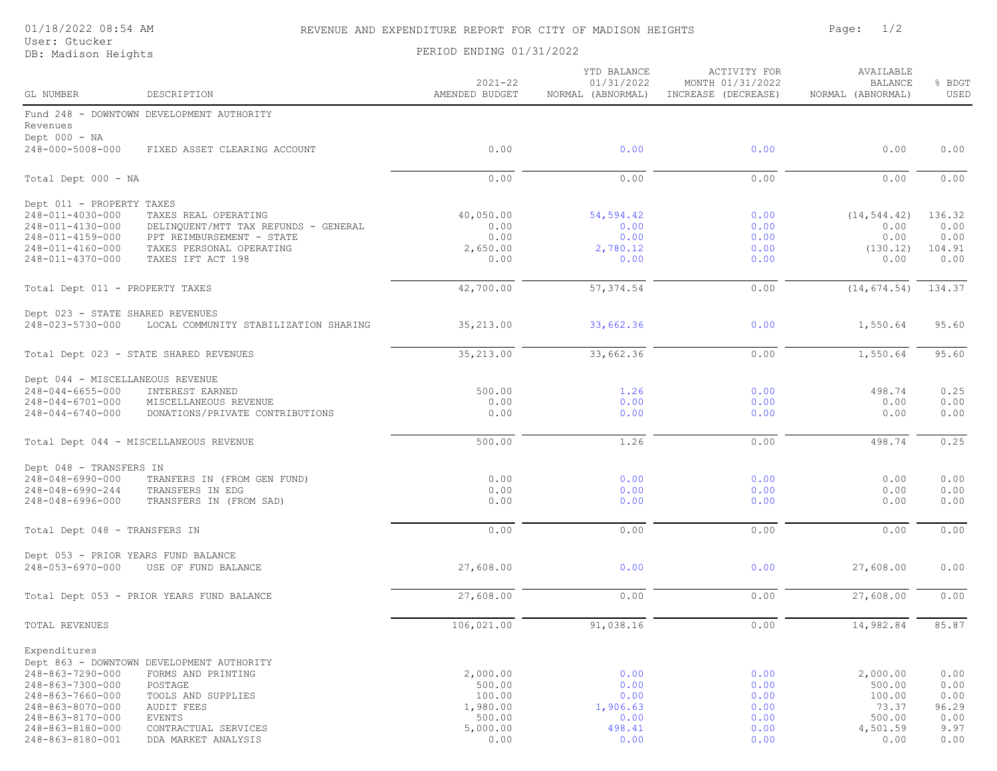#### 01/18/2022 08:54 AM REVENUE AND EXPENDITURE REPORT FOR CITY OF MADISON HEIGHTS Page: 1/2

User: Gtucker

DB: Madison Heights Dotation PERIOD ENDING 01/31/2022

| GL NUMBER                                               | DESCRIPTION                                                       | $2021 - 22$<br>AMENDED BUDGET | YTD BALANCE<br>01/31/2022<br>NORMAL (ABNORMAL) | ACTIVITY FOR<br>MONTH 01/31/2022<br>INCREASE (DECREASE) | AVAILABLE<br><b>BALANCE</b><br>NORMAL (ABNORMAL) | % BDGT<br>USED |
|---------------------------------------------------------|-------------------------------------------------------------------|-------------------------------|------------------------------------------------|---------------------------------------------------------|--------------------------------------------------|----------------|
| Revenues<br>Dept $000 - NA$                             | Fund 248 - DOWNTOWN DEVELOPMENT AUTHORITY                         |                               |                                                |                                                         |                                                  |                |
| 248-000-5008-000                                        | FIXED ASSET CLEARING ACCOUNT                                      | 0.00                          | 0.00                                           | 0.00                                                    | 0.00                                             | 0.00           |
| Total Dept 000 - NA                                     |                                                                   | 0.00                          | 0.00                                           | 0.00                                                    | 0.00                                             | 0.00           |
| Dept 011 - PROPERTY TAXES                               |                                                                   |                               |                                                |                                                         |                                                  |                |
| 248-011-4030-000                                        | TAXES REAL OPERATING                                              | 40,050.00                     | 54, 594.42                                     | 0.00                                                    | (14, 544.42)                                     | 136.32         |
| 248-011-4130-000<br>248-011-4159-000                    | DELINQUENT/MTT TAX REFUNDS - GENERAL<br>PPT REIMBURSEMENT - STATE | 0.00<br>0.00                  | 0.00<br>0.00                                   | 0.00<br>0.00                                            | 0.00<br>0.00                                     | 0.00<br>0.00   |
| 248-011-4160-000                                        | TAXES PERSONAL OPERATING                                          | 2,650.00                      | 2,780.12                                       | 0.00                                                    | (130.12)                                         | 104.91         |
| 248-011-4370-000                                        | TAXES IFT ACT 198                                                 | 0.00                          | 0.00                                           | 0.00                                                    | 0.00                                             | 0.00           |
| Total Dept 011 - PROPERTY TAXES                         |                                                                   | 42,700.00                     | 57, 374.54                                     | 0.00                                                    | (14, 674.54)                                     | 134.37         |
| Dept 023 - STATE SHARED REVENUES                        |                                                                   |                               |                                                |                                                         |                                                  |                |
| 248-023-5730-000                                        | LOCAL COMMUNITY STABILIZATION SHARING                             | 35,213.00                     | 33,662.36                                      | 0.00                                                    | 1,550.64                                         | 95.60          |
|                                                         | Total Dept 023 - STATE SHARED REVENUES                            | 35,213.00                     | 33,662.36                                      | 0.00                                                    | 1,550.64                                         | 95.60          |
| Dept 044 - MISCELLANEOUS REVENUE                        |                                                                   |                               |                                                |                                                         |                                                  |                |
| 248-044-6655-000<br>248-044-6701-000                    | INTEREST EARNED<br>MISCELLANEOUS REVENUE                          | 500.00<br>0.00                | 1.26<br>0.00                                   | 0.00<br>0.00                                            | 498.74<br>0.00                                   | 0.25<br>0.00   |
| 248-044-6740-000                                        | DONATIONS/PRIVATE CONTRIBUTIONS                                   | 0.00                          | 0.00                                           | 0.00                                                    | 0.00                                             | 0.00           |
|                                                         | Total Dept 044 - MISCELLANEOUS REVENUE                            | 500.00                        | 1.26                                           | 0.00                                                    | 498.74                                           | 0.25           |
| Dept 048 - TRANSFERS IN                                 |                                                                   |                               |                                                |                                                         |                                                  |                |
| 248-048-6990-000                                        | TRANFERS IN (FROM GEN FUND)                                       | 0.00                          | 0.00                                           | 0.00                                                    | 0.00                                             | 0.00           |
| 248-048-6990-244<br>248-048-6996-000                    | TRANSFERS IN EDG<br>TRANSFERS IN (FROM SAD)                       | 0.00<br>0.00                  | 0.00<br>0.00                                   | 0.00<br>0.00                                            | 0.00<br>0.00                                     | 0.00<br>0.00   |
| Total Dept 048 - TRANSFERS IN                           |                                                                   | 0.00                          | 0.00                                           | 0.00                                                    | 0.00                                             | 0.00           |
|                                                         |                                                                   |                               |                                                |                                                         |                                                  |                |
| Dept 053 - PRIOR YEARS FUND BALANCE<br>248-053-6970-000 | USE OF FUND BALANCE                                               | 27,608.00                     | 0.00                                           | 0.00                                                    | 27,608.00                                        | 0.00           |
|                                                         | Total Dept 053 - PRIOR YEARS FUND BALANCE                         | 27,608.00                     | 0.00                                           | 0.00                                                    | 27,608.00                                        | 0.00           |
| TOTAL REVENUES                                          |                                                                   | 106,021.00                    | 91,038.16                                      | 0.00                                                    | 14,982.84                                        | 85.87          |
| Expenditures                                            |                                                                   |                               |                                                |                                                         |                                                  |                |
|                                                         | Dept 863 - DOWNTOWN DEVELOPMENT AUTHORITY                         |                               |                                                |                                                         |                                                  |                |
| 248-863-7290-000                                        | FORMS AND PRINTING                                                | 2,000.00                      | 0.00                                           | 0.00                                                    | 2,000.00                                         | 0.00           |
| 248-863-7300-000                                        | POSTAGE                                                           | 500.00                        | 0.00                                           | 0.00                                                    | 500.00                                           | 0.00           |
| 248-863-7660-000<br>248-863-8070-000                    | TOOLS AND SUPPLIES                                                | 100.00                        | 0.00                                           | 0.00                                                    | 100.00                                           | 0.00           |
| 248-863-8170-000                                        | AUDIT FEES<br><b>EVENTS</b>                                       | 1,980.00<br>500.00            | 1,906.63<br>0.00                               | 0.00<br>0.00                                            | 73.37<br>500.00                                  | 96.29<br>0.00  |
| 248-863-8180-000                                        | CONTRACTUAL SERVICES                                              | 5,000.00                      | 498.41                                         | 0.00                                                    | 4,501.59                                         | 9.97           |
| 248-863-8180-001                                        | DDA MARKET ANALYSIS                                               | 0.00                          | 0.00                                           | 0.00                                                    | 0.00                                             | 0.00           |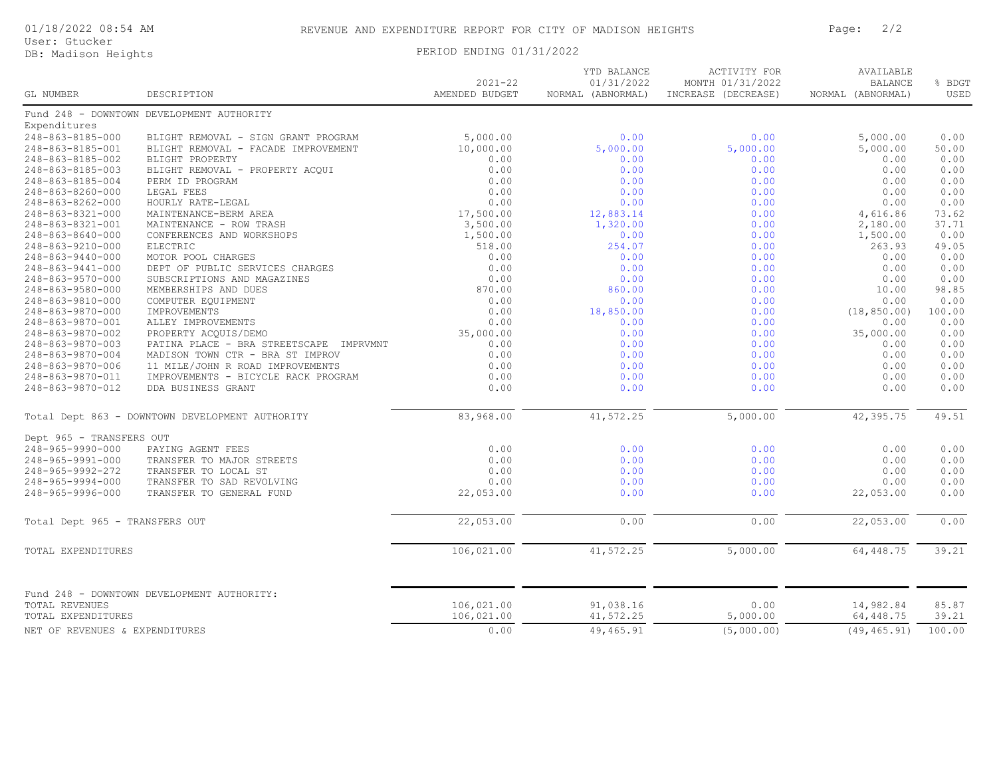#### 01/18/2022 08:54 AM REVENUE AND EXPENDITURE REPORT FOR CITY OF MADISON HEIGHTS Page: 2/2

User: Gtucker

#### DB: Madison Heights Development PERIOD ENDING 01/31/2022

| $2021 - 22$                                                          | YTD BALANCE<br>01/31/2022 | ACTIVITY FOR<br>MONTH 01/31/2022 | AVAILABLE<br><b>BALANCE</b> | % BDGT |
|----------------------------------------------------------------------|---------------------------|----------------------------------|-----------------------------|--------|
| AMENDED BUDGET<br><b>GL NUMBER</b><br>DESCRIPTION                    | NORMAL (ABNORMAL)         | INCREASE (DECREASE)              | NORMAL (ABNORMAL)           | USED   |
| Fund 248 - DOWNTOWN DEVELOPMENT AUTHORITY                            |                           |                                  |                             |        |
| Expenditures                                                         |                           |                                  |                             |        |
| 248-863-8185-000<br>BLIGHT REMOVAL - SIGN GRANT PROGRAM<br>5,000.00  | 0.00                      | 0.00                             | 5,000.00                    | 0.00   |
| 248-863-8185-001<br>BLIGHT REMOVAL - FACADE IMPROVEMENT<br>10,000.00 | 5,000.00                  | 5,000.00                         | 5,000.00                    | 50.00  |
| 0.00<br>248-863-8185-002<br>BLIGHT PROPERTY                          | 0.00                      | 0.00                             | 0.00                        | 0.00   |
| 248-863-8185-003<br>BLIGHT REMOVAL - PROPERTY ACQUI<br>0.00          | 0.00                      | 0.00                             | 0.00                        | 0.00   |
| 248-863-8185-004<br>PERM ID PROGRAM<br>0.00                          | 0.00                      | 0.00                             | 0.00                        | 0.00   |
| 0.00<br>248-863-8260-000<br>LEGAL FEES                               | 0.00                      | 0.00                             | 0.00                        | 0.00   |
| 248-863-8262-000<br>0.00<br>HOURLY RATE-LEGAL                        | 0.00                      | 0.00                             | 0.00                        | 0.00   |
| 248-863-8321-000<br>MAINTENANCE-BERM AREA<br>17,500.00               | 12,883.14                 | 0.00                             | 4,616.86                    | 73.62  |
| 3,500.00<br>248-863-8321-001<br>MAINTENANCE - ROW TRASH              | 1,320.00                  | 0.00                             | 2,180.00                    | 37.71  |
| 248-863-8640-000<br>CONFERENCES AND WORKSHOPS<br>1,500.00            | 0.00                      | 0.00                             | 1,500.00                    | 0.00   |
| 248-863-9210-000<br>ELECTRIC<br>518.00                               | 254.07                    | 0.00                             | 263.93                      | 49.05  |
| 248-863-9440-000<br>MOTOR POOL CHARGES<br>0.00                       | 0.00                      | 0.00                             | 0.00                        | 0.00   |
| 0.00<br>248-863-9441-000<br>DEPT OF PUBLIC SERVICES CHARGES          | 0.00                      | 0.00                             | 0.00                        | 0.00   |
| 248-863-9570-000<br>SUBSCRIPTIONS AND MAGAZINES<br>0.00              | 0.00                      | 0.00                             | 0.00                        | 0.00   |
| 870.00<br>248-863-9580-000<br>MEMBERSHIPS AND DUES                   | 860.00                    | 0.00                             | 10.00                       | 98.85  |
| 0.00<br>248-863-9810-000<br>COMPUTER EQUIPMENT                       | 0.00                      | 0.00                             | 0.00                        | 0.00   |
| 0.00<br>248-863-9870-000<br><b>IMPROVEMENTS</b>                      | 18,850.00                 | 0.00                             | (18, 850, 00)               | 100.00 |
| 0.00<br>248-863-9870-001<br>ALLEY IMPROVEMENTS                       | 0.00                      | 0.00                             | 0.00                        | 0.00   |
| 248-863-9870-002<br>35,000.00<br>PROPERTY ACOUIS/DEMO                | 0.00                      | 0.00                             | 35,000.00                   | 0.00   |
| 248-863-9870-003<br>PATINA PLACE - BRA STREETSCAPE IMPRVMNT<br>0.00  | 0.00                      | 0.00                             | 0.00                        | 0.00   |
| 0.00<br>248-863-9870-004<br>MADISON TOWN CTR - BRA ST IMPROV         | 0.00                      | 0.00                             | 0.00                        | 0.00   |
| 248-863-9870-006<br>11 MILE/JOHN R ROAD IMPROVEMENTS<br>0.00         | 0.00                      | 0.00                             | 0.00                        | 0.00   |
| 248-863-9870-011<br>IMPROVEMENTS - BICYCLE RACK PROGRAM<br>0.00      | 0.00                      | 0.00                             | 0.00                        | 0.00   |
| 0.00<br>248-863-9870-012<br>DDA BUSINESS GRANT                       | 0.00                      | 0.00                             | 0.00                        | 0.00   |
| 83,968.00<br>Total Dept 863 - DOWNTOWN DEVELOPMENT AUTHORITY         | 41,572.25                 | 5,000.00                         | 42,395.75                   | 49.51  |
| Dept 965 - TRANSFERS OUT                                             |                           |                                  |                             |        |
| 248-965-9990-000<br>0.00<br>PAYING AGENT FEES                        | 0.00                      | 0.00                             | 0.00                        | 0.00   |
| 248-965-9991-000<br>0.00<br>TRANSFER TO MAJOR STREETS                | 0.00                      | 0.00                             | 0.00                        | 0.00   |
| 0.00<br>248-965-9992-272<br>TRANSFER TO LOCAL ST                     | 0.00                      | 0.00                             | 0.00                        | 0.00   |
| 0.00<br>248-965-9994-000<br>TRANSFER TO SAD REVOLVING                | 0.00                      | 0.00                             | 0.00                        | 0.00   |
| TRANSFER TO GENERAL FUND<br>22,053.00<br>248-965-9996-000            | 0.00                      | 0.00                             | 22,053.00                   | 0.00   |
| 22,053.00<br>Total Dept 965 - TRANSFERS OUT                          | 0.00                      | 0.00                             | 22,053.00                   | 0.00   |
|                                                                      |                           |                                  |                             |        |
| 106,021.00<br>TOTAL EXPENDITURES                                     | 41,572.25                 | 5,000.00                         | 64,448.75                   | 39.21  |
| Fund 248 - DOWNTOWN DEVELOPMENT AUTHORITY:                           |                           |                                  |                             |        |
| 106,021.00<br><b>TOTAL REVENUES</b>                                  | 91,038.16                 | 0.00                             | 14,982.84                   | 85.87  |
| 106,021.00<br>TOTAL EXPENDITURES                                     | 41,572.25                 | 5,000.00                         | 64,448.75                   | 39.21  |
| 0.00<br>NET OF REVENUES & EXPENDITURES                               | 49,465.91                 | (5,000.00)                       | (49, 465.91)                | 100.00 |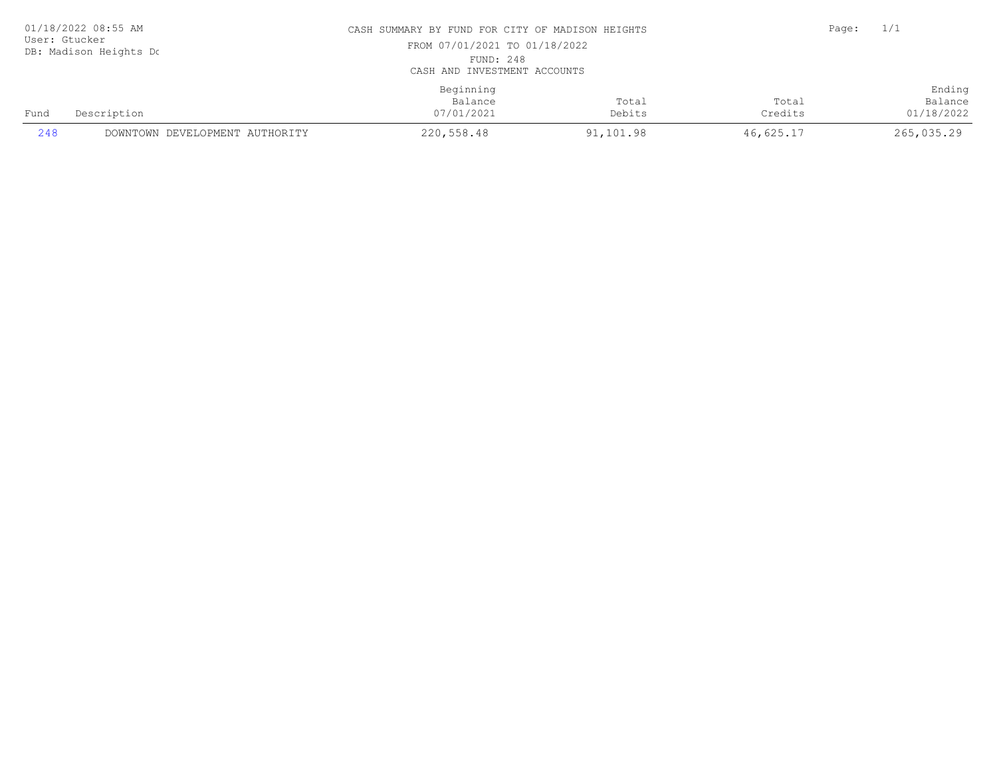| 01/18/2022 08:55 AM<br>User: Gtucker<br>DB: Madison Heights Do |                                | CASH SUMMARY BY FUND FOR CITY OF MADISON HEIGHTS<br>FROM 07/01/2021 TO 01/18/2022<br>FUND: 248<br>CASH AND INVESTMENT ACCOUNTS |                 |                  | Page: | 1/1                             |
|----------------------------------------------------------------|--------------------------------|--------------------------------------------------------------------------------------------------------------------------------|-----------------|------------------|-------|---------------------------------|
| Fund                                                           | Description                    | Beginning<br>Balance<br>07/01/2021                                                                                             | Total<br>Debits | Total<br>Credits |       | Ending<br>Balance<br>01/18/2022 |
| 248                                                            | DOWNTOWN DEVELOPMENT AUTHORITY | 220,558.48                                                                                                                     | 91,101.98       | 46,625.17        |       | 265,035.29                      |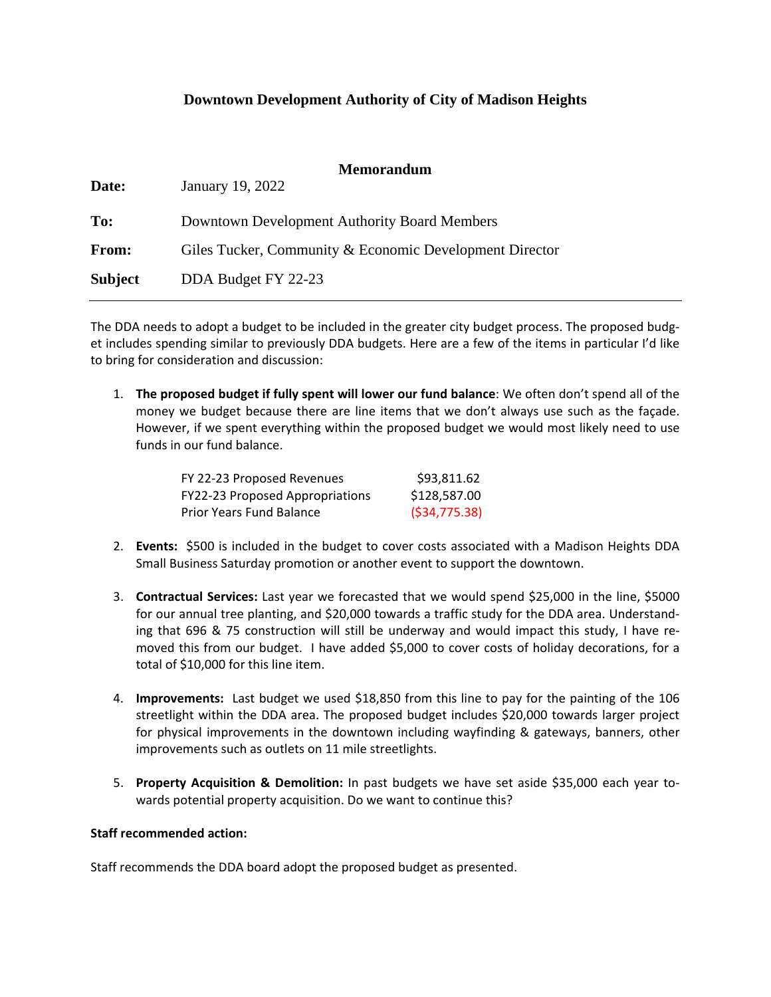#### **Downtown Development Authority of City of Madison Heights**

| Date:   | <b>Memorandum</b><br>January 19, 2022                   |
|---------|---------------------------------------------------------|
| To:     | Downtown Development Authority Board Members            |
| From:   | Giles Tucker, Community & Economic Development Director |
| Subject | DDA Budget FY 22-23                                     |

The DDA needs to adopt a budget to be included in the greater city budget process. The proposed budget includes spending similar to previously DDA budgets. Here are a few of the items in particular I'd like to bring for consideration and discussion:

1. **The proposed budget if fully spent will lower our fund balance**: We often don't spend all of the money we budget because there are line items that we don't always use such as the façade. However, if we spent everything within the proposed budget we would most likely need to use funds in our fund balance.

| FY 22-23 Proposed Revenues      | \$93,811.62   |
|---------------------------------|---------------|
| FY22-23 Proposed Appropriations | \$128,587.00  |
| <b>Prior Years Fund Balance</b> | (534, 775.38) |

- 2. **Events:** \$500 is included in the budget to cover costs associated with a Madison Heights DDA Small Business Saturday promotion or another event to support the downtown.
- 3. **Contractual Services:** Last year we forecasted that we would spend \$25,000 in the line, \$5000 for our annual tree planting, and \$20,000 towards a traffic study for the DDA area. Understanding that 696 & 75 construction will still be underway and would impact this study, I have removed this from our budget. I have added \$5,000 to cover costs of holiday decorations, for a total of \$10,000 for this line item.
- 4. **Improvements:** Last budget we used \$18,850 from this line to pay for the painting of the 106 streetlight within the DDA area. The proposed budget includes \$20,000 towards larger project for physical improvements in the downtown including wayfinding & gateways, banners, other improvements such as outlets on 11 mile streetlights.
- 5. **Property Acquisition & Demolition:** In past budgets we have set aside \$35,000 each year towards potential property acquisition. Do we want to continue this?

#### **Staff recommended action:**

Staff recommends the DDA board adopt the proposed budget as presented.